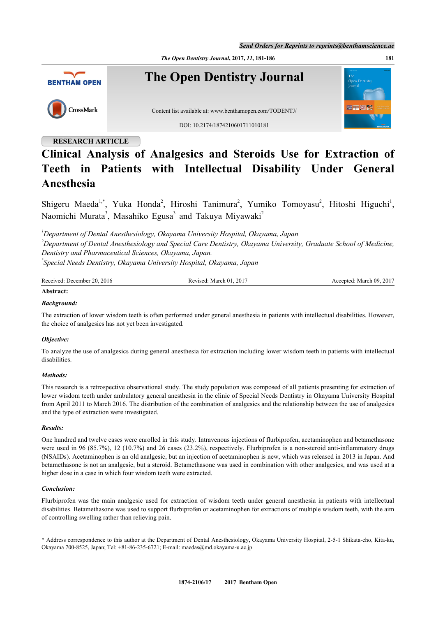*Send Orders for Reprints to reprints@benthamscience.ae*

*The Open Dentistry Journal***, 2017,** *11***, 181-186 181**



# **RESEARCH ARTICLE**

# **Clinical Analysis of Analgesics and Steroids Use for Extraction of Teeth in Patients with Intellectual Disability Under General Anesthesia**

Shigeru Maeda<sup>[1](#page-0-0),[\\*](#page-0-1)</sup>, Yuka Honda<sup>[2](#page-0-2)</sup>, Hiroshi Tanimura<sup>2</sup>, Yumiko Tomoyasu<sup>2</sup>, Hitoshi Higuchi<sup>1</sup>, Naomichi Murata<sup>[3](#page-0-3)</sup>, Masahiko Egusa<sup>3</sup> and Takuya Miyawaki<sup>[2](#page-0-2)</sup>

<span id="page-0-2"></span><span id="page-0-0"></span>*Department of Dental Anesthesiology, Okayama University Hospital, Okayama, Japan Department of Dental Anesthesiology and Special Care Dentistry, Okayama University, Graduate School of Medicine, Dentistry and Pharmaceutical Sciences, Okayama, Japan. Special Needs Dentistry, Okayama University Hospital, Okayama, Japan*

<span id="page-0-3"></span>Received: December 20, 2016 Revised: March 01, 2017 Accepted: March 09, 2017

# **Abstract:**

# *Background:*

The extraction of lower wisdom teeth is often performed under general anesthesia in patients with intellectual disabilities. However, the choice of analgesics has not yet been investigated.

# *Objective:*

To analyze the use of analgesics during general anesthesia for extraction including lower wisdom teeth in patients with intellectual disabilities.

# *Methods:*

This research is a retrospective observational study. The study population was composed of all patients presenting for extraction of lower wisdom teeth under ambulatory general anesthesia in the clinic of Special Needs Dentistry in Okayama University Hospital from April 2011 to March 2016. The distribution of the combination of analgesics and the relationship between the use of analgesics and the type of extraction were investigated.

### *Results:*

One hundred and twelve cases were enrolled in this study. Intravenous injections of flurbiprofen, acetaminophen and betamethasone were used in 96 (85.7%), 12 (10.7%) and 26 cases (23.2%), respectively. Flurbiprofen is a non-steroid anti-inflammatory drugs (NSAIDs). Acetaminophen is an old analgesic, but an injection of acetaminophen is new, which was released in 2013 in Japan. And betamethasone is not an analgesic, but a steroid. Betamethasone was used in combination with other analgesics, and was used at a higher dose in a case in which four wisdom teeth were extracted.

### *Conclusion:*

Flurbiprofen was the main analgesic used for extraction of wisdom teeth under general anesthesia in patients with intellectual disabilities. Betamethasone was used to support flurbiprofen or acetaminophen for extractions of multiple wisdom teeth, with the aim of controlling swelling rather than relieving pain.

<span id="page-0-1"></span><sup>\*</sup> Address correspondence to this author at the Department of Dental Anesthesiology, Okayama University Hospital, 2-5-1 Shikata-cho, Kita-ku, Okayama 700-8525, Japan; Tel: +81-86-235-6721; E-mail: [maedas@md.okayama-u.ac.jp](mailto:maedas@md.okayama-u.ac.jp)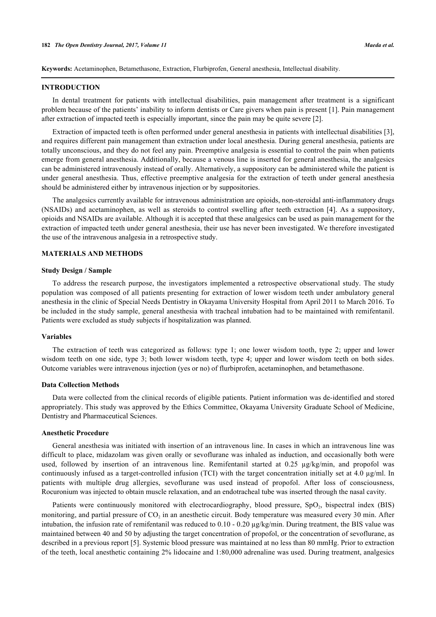**Keywords:** Acetaminophen, Betamethasone, Extraction, Flurbiprofen, General anesthesia, Intellectual disability.

# **INTRODUCTION**

In dental treatment for patients with intellectual disabilities, pain management after treatment is a significant problem because of the patients' inability to inform dentists or Care givers when pain is present [[1\]](#page-4-0). Pain management after extraction of impacted teeth is especially important, since the pain may be quite severe [[2\]](#page-4-1).

Extraction of impacted teeth is often performed under general anesthesia in patients with intellectual disabilities [[3\]](#page-4-2), and requires different pain management than extraction under local anesthesia. During general anesthesia, patients are totally unconscious, and they do not feel any pain. Preemptive analgesia is essential to control the pain when patients emerge from general anesthesia. Additionally, because a venous line is inserted for general anesthesia, the analgesics can be administered intravenously instead of orally. Alternatively, a suppository can be administered while the patient is under general anesthesia. Thus, effective preemptive analgesia for the extraction of teeth under general anesthesia should be administered either by intravenous injection or by suppositories.

The analgesics currently available for intravenous administration are opioids, non-steroidal anti-inflammatory drugs (NSAIDs) and acetaminophen, as well as steroids to control swelling after teeth extraction[[4\]](#page-4-3). As a suppository, opioids and NSAIDs are available. Although it is accepted that these analgesics can be used as pain management for the extraction of impacted teeth under general anesthesia, their use has never been investigated. We therefore investigated the use of the intravenous analgesia in a retrospective study.

# **MATERIALS AND METHODS**

#### **Study Design / Sample**

To address the research purpose, the investigators implemented a retrospective observational study. The study population was composed of all patients presenting for extraction of lower wisdom teeth under ambulatory general anesthesia in the clinic of Special Needs Dentistry in Okayama University Hospital from April 2011 to March 2016. To be included in the study sample, general anesthesia with tracheal intubation had to be maintained with remifentanil. Patients were excluded as study subjects if hospitalization was planned.

### **Variables**

The extraction of teeth was categorized as follows: type 1; one lower wisdom tooth, type 2; upper and lower wisdom teeth on one side, type 3; both lower wisdom teeth, type 4; upper and lower wisdom teeth on both sides. Outcome variables were intravenous injection (yes or no) of flurbiprofen, acetaminophen, and betamethasone.

#### **Data Collection Methods**

Data were collected from the clinical records of eligible patients. Patient information was de-identified and stored appropriately. This study was approved by the Ethics Committee, Okayama University Graduate School of Medicine, Dentistry and Pharmaceutical Sciences.

# **Anesthetic Procedure**

General anesthesia was initiated with insertion of an intravenous line. In cases in which an intravenous line was difficult to place, midazolam was given orally or sevoflurane was inhaled as induction, and occasionally both were used, followed by insertion of an intravenous line. Remifentanil started at 0.25 µg/kg/min, and propofol was continuously infused as a target-controlled infusion (TCI) with the target concentration initially set at 4.0 µg/ml. In patients with multiple drug allergies, sevoflurane was used instead of propofol. After loss of consciousness, Rocuronium was injected to obtain muscle relaxation, and an endotracheal tube was inserted through the nasal cavity.

Patients were continuously monitored with electrocardiography, blood pressure, SpO<sub>2</sub>, bispectral index (BIS) monitoring, and partial pressure of  $CO<sub>2</sub>$  in an anesthetic circuit. Body temperature was measured every 30 min. After intubation, the infusion rate of remifentanil was reduced to 0.10 - 0.20 µg/kg/min. During treatment, the BIS value was maintained between 40 and 50 by adjusting the target concentration of propofol, or the concentration of sevoflurane, as described in a previous report [[5\]](#page-4-4). Systemic blood pressure was maintained at no less than 80 mmHg. Prior to extraction of the teeth, local anesthetic containing 2% lidocaine and 1:80,000 adrenaline was used. During treatment, analgesics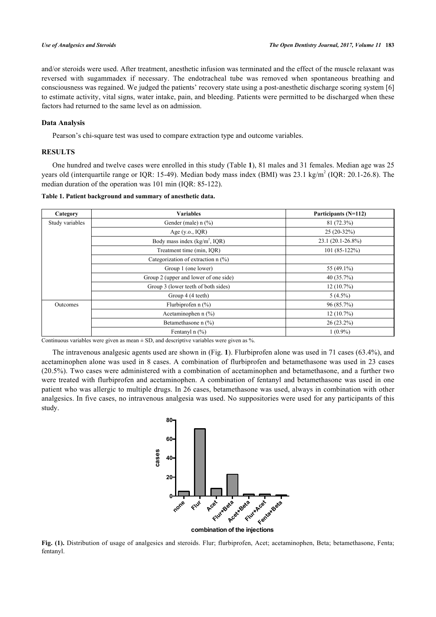and/or steroids were used. After treatment, anesthetic infusion was terminated and the effect of the muscle relaxant was reversed with sugammadex if necessary. The endotracheal tube was removed when spontaneous breathing and consciousness was regained. We judged the patients' recovery state using a post-anesthetic discharge scoring system [\[6](#page-4-5)] to estimate activity, vital signs, water intake, pain, and bleeding. Patients were permitted to be discharged when these factors had returned to the same level as on admission.

### **Data Analysis**

Pearson's chi-square test was used to compare extraction type and outcome variables.

#### **RESULTS**

One hundred and twelve cases were enrolled in this study (Table **[1](#page-2-0)**), 81 males and 31 females. Median age was 25 years old (interquartile range or IQR: 15-49). Median body mass index (BMI) was 23.1 kg/m<sup>2</sup> (IQR: 20.1-26.8). The median duration of the operation was 101 min (IQR: 85-122).

<span id="page-2-0"></span>

|  |  | Table 1. Patient background and summary of anesthetic data. |  |  |  |  |  |
|--|--|-------------------------------------------------------------|--|--|--|--|--|
|--|--|-------------------------------------------------------------|--|--|--|--|--|

| Category        | <b>Variables</b>                      | Participants (N=112)  |
|-----------------|---------------------------------------|-----------------------|
| Study variables | Gender (male) $n$ (%)                 | 81 (72.3%)            |
|                 | Age $(y.o., IQR)$                     | $25(20-32%)$          |
|                 | Body mass index $(kg/m^2, IQR)$       | $23.1(20.1 - 26.8\%)$ |
|                 | Treatment time (min, IQR)             | $101(85-122%)$        |
|                 | Categorization of extraction $n$ (%)  |                       |
|                 | Group 1 (one lower)                   | 55 (49.1%)            |
|                 | Group 2 (upper and lower of one side) | 40(35.7%)             |
|                 | Group 3 (lower teeth of both sides)   | $12(10.7\%)$          |
|                 | Group 4 (4 teeth)                     | $5(4.5\%)$            |
| <b>Outcomes</b> | Flurbiprofen n $(\% )$                | 96(85.7%)             |
|                 | Acetaminophen n $(\% )$               | $12(10.7\%)$          |
|                 | Betamethasone n (%)                   | $26(23.2\%)$          |
|                 | Fentanyl n $(\% )$                    | $1(0.9\%)$            |

Continuous variables were given as mean  $\pm$  SD, and descriptive variables were given as %.

<span id="page-2-1"></span>The intravenous analgesic agents used are shown in (Fig. **[1](#page-2-1)**). Flurbiprofen alone was used in 71 cases (63.4%), and acetaminophen alone was used in 8 cases. A combination of flurbiprofen and betamethasone was used in 23 cases (20.5%). Two cases were administered with a combination of acetaminophen and betamethasone, and a further two were treated with flurbiprofen and acetaminophen. A combination of fentanyl and betamethasone was used in one patient who was allergic to multiple drugs. In 26 cases, betamethasone was used, always in combination with other analgesics. In five cases, no intravenous analgesia was used. No suppositories were used for any participants of this study.



**Fig. (1).** Distribution of usage of analgesics and steroids. Flur; flurbiprofen, Acet; acetaminophen, Beta; betamethasone, Fenta; fentanyl.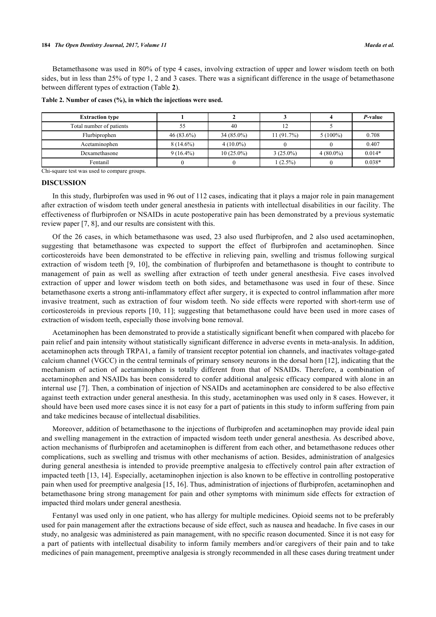Betamethasone was used in 80% of type 4 cases, involving extraction of upper and lower wisdom teeth on both sides, but in less than 25% of type 1, 2 and 3 cases. There was a significant difference in the usage of betamethasone between different types of extraction (Table **[2](#page-3-0)**).

| <b>Extraction type</b>   |             |              |             |             | P-value  |
|--------------------------|-------------|--------------|-------------|-------------|----------|
| Total number of patients | 55          | 40           |             |             |          |
| Flurbiprophen            | 46(83.6%)   | $34(85.0\%)$ | 11(91.7%)   | $5(100\%)$  | 0.708    |
| Acetaminophen            | $8(14.6\%)$ | $4(10.0\%)$  |             |             | 0.407    |
| Dexamethasone            | $9(16.4\%)$ | $10(25.0\%)$ | $3(25.0\%)$ | $4(80.0\%)$ | $0.014*$ |
| Fentanil                 |             |              | $1(2.5\%)$  |             | $0.038*$ |

<span id="page-3-0"></span>**Table 2. Number of cases (%), in which the injections were used.**

Chi-square test was used to compare groups.

#### **DISCUSSION**

In this study, flurbiprofen was used in 96 out of 112 cases, indicating that it plays a major role in pain management after extraction of wisdom teeth under general anesthesia in patients with intellectual disabilities in our facility. The effectiveness of flurbiprofen or NSAIDs in acute postoperative pain has been demonstrated by a previous systematic review paper [\[7](#page-4-6), [8](#page-4-7)], and our results are consistent with this.

Of the 26 cases, in which betamethasone was used, 23 also used flurbiprofen, and 2 also used acetaminophen, suggesting that betamethasone was expected to support the effect of flurbiprofen and acetaminophen. Since corticosteroids have been demonstrated to be effective in relieving pain, swelling and trismus following surgical extraction of wisdom teeth [[9,](#page-4-8) [10\]](#page-4-9), the combination of flurbiprofen and betamethasone is thought to contribute to management of pain as well as swelling after extraction of teeth under general anesthesia. Five cases involved extraction of upper and lower wisdom teeth on both sides, and betamethasone was used in four of these. Since betamethasone exerts a strong anti-inflammatory effect after surgery, it is expected to control inflammation after more invasive treatment, such as extraction of four wisdom teeth. No side effects were reported with short-term use of corticosteroids in previous reports [[10,](#page-4-9) [11](#page-4-10)]; suggesting that betamethasone could have been used in more cases of extraction of wisdom teeth, especially those involving bone removal.

Acetaminophen has been demonstrated to provide a statistically significant benefit when compared with placebo for pain relief and pain intensity without statistically significant difference in adverse events in meta-analysis. In addition, acetaminophen acts through TRPA1, a family of transient receptor potential ion channels, and inactivates voltage-gated calcium channel (VGCC) in the central terminals of primary sensory neurons in the dorsal horn [\[12](#page-4-11)], indicating that the mechanism of action of acetaminophen is totally different from that of NSAIDs. Therefore, a combination of acetaminophen and NSAIDs has been considered to confer additional analgesic efficacy compared with alone in an internal use [\[7](#page-4-6)]. Then, a combination of injection of NSAIDs and acetaminophen are considered to be also effective against teeth extraction under general anesthesia. In this study, acetaminophen was used only in 8 cases. However, it should have been used more cases since it is not easy for a part of patients in this study to inform suffering from pain and take medicines because of intellectual disabilities.

Moreover, addition of betamethasone to the injections of flurbiprofen and acetaminophen may provide ideal pain and swelling management in the extraction of impacted wisdom teeth under general anesthesia. As described above, action mechanisms of flurbiprofen and acetaminophen is different from each other, and betamethasone reduces other complications, such as swelling and trismus with other mechanisms of action. Besides, administration of analgesics during general anesthesia is intended to provide preemptive analgesia to effectively control pain after extraction of impacted teeth [\[13](#page-4-12), [14\]](#page-5-0). Especially, acetaminophen injection is also known to be effective in controlling postoperative pain when used for preemptive analgesia [\[15](#page-5-1), [16](#page-5-2)]. Thus, administration of injections of flurbiprofen, acetaminophen and betamethasone bring strong management for pain and other symptoms with minimum side effects for extraction of impacted third molars under general anesthesia.

Fentanyl was used only in one patient, who has allergy for multiple medicines. Opioid seems not to be preferably used for pain management after the extractions because of side effect, such as nausea and headache. In five cases in our study, no analgesic was administered as pain management, with no specific reason documented. Since it is not easy for a part of patients with intellectual disability to inform family members and/or caregivers of their pain and to take medicines of pain management, preemptive analgesia is strongly recommended in all these cases during treatment under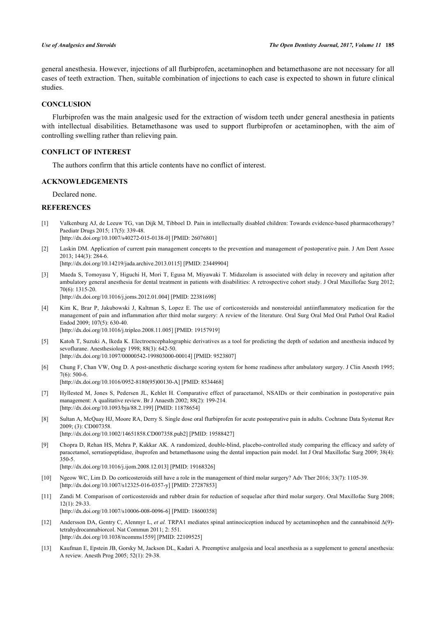general anesthesia. However, injections of all flurbiprofen, acetaminophen and betamethasone are not necessary for all cases of teeth extraction. Then, suitable combination of injections to each case is expected to shown in future clinical studies.

# **CONCLUSION**

Flurbiprofen was the main analgesic used for the extraction of wisdom teeth under general anesthesia in patients with intellectual disabilities. Betamethasone was used to support flurbiprofen or acetaminophen, with the aim of controlling swelling rather than relieving pain.

#### **CONFLICT OF INTEREST**

The authors confirm that this article contents have no conflict of interest.

#### **ACKNOWLEDGEMENTS**

Declared none.

#### **REFERENCES**

<span id="page-4-0"></span>[1] Valkenburg AJ, de Leeuw TG, van Dijk M, Tibboel D. Pain in intellectually disabled children: Towards evidence-based pharmacotherapy? Paediatr Drugs 2015; 17(5): 339-48.

[\[http://dx.doi.org/10.1007/s40272-015-0138-0\]](http://dx.doi.org/10.1007/s40272-015-0138-0) [PMID: [26076801](http://www.ncbi.nlm.nih.gov/pubmed/26076801)]

<span id="page-4-1"></span>[2] Laskin DM. Application of current pain management concepts to the prevention and management of postoperative pain. J Am Dent Assoc 2013; 144(3): 284-6.

[\[http://dx.doi.org/10.14219/jada.archive.2013.0115\]](http://dx.doi.org/10.14219/jada.archive.2013.0115) [PMID: [23449904](http://www.ncbi.nlm.nih.gov/pubmed/23449904)]

<span id="page-4-2"></span>[3] Maeda S, Tomoyasu Y, Higuchi H, Mori T, Egusa M, Miyawaki T. Midazolam is associated with delay in recovery and agitation after ambulatory general anesthesia for dental treatment in patients with disabilities: A retrospective cohort study. J Oral Maxillofac Surg 2012; 70(6): 1315-20.

[\[http://dx.doi.org/10.1016/j.joms.2012.01.004\]](http://dx.doi.org/10.1016/j.joms.2012.01.004) [PMID: [22381698](http://www.ncbi.nlm.nih.gov/pubmed/22381698)]

- <span id="page-4-3"></span>[4] Kim K, Brar P, Jakubowski J, Kaltman S, Lopez E. The use of corticosteroids and nonsteroidal antiinflammatory medication for the management of pain and inflammation after third molar surgery: A review of the literature. Oral Surg Oral Med Oral Pathol Oral Radiol Endod 2009; 107(5): 630-40. [\[http://dx.doi.org/10.1016/j.tripleo.2008.11.005\]](http://dx.doi.org/10.1016/j.tripleo.2008.11.005) [PMID: [19157919](http://www.ncbi.nlm.nih.gov/pubmed/19157919)]
- <span id="page-4-4"></span>[5] Katoh T, Suzuki A, Ikeda K. Electroencephalographic derivatives as a tool for predicting the depth of sedation and anesthesia induced by sevoflurane. Anesthesiology 1998; 88(3): 642-50. [\[http://dx.doi.org/10.1097/00000542-199803000-00014](http://dx.doi.org/10.1097/00000542-199803000-00014)] [PMID: [9523807\]](http://www.ncbi.nlm.nih.gov/pubmed/9523807)
- <span id="page-4-5"></span>[6] Chung F, Chan VW, Ong D. A post-anesthetic discharge scoring system for home readiness after ambulatory surgery. J Clin Anesth 1995; 7(6): 500-6. [\[http://dx.doi.org/10.1016/0952-8180\(95\)00130-A](http://dx.doi.org/10.1016/0952-8180(95)00130-A)] [PMID: [8534468\]](http://www.ncbi.nlm.nih.gov/pubmed/8534468)
- <span id="page-4-6"></span>[7] Hyllested M, Jones S, Pedersen JL, Kehlet H. Comparative effect of paracetamol, NSAIDs or their combination in postoperative pain management: A qualitative review. Br J Anaesth 2002; 88(2): 199-214. [\[http://dx.doi.org/10.1093/bja/88.2.199\]](http://dx.doi.org/10.1093/bja/88.2.199) [PMID: [11878654](http://www.ncbi.nlm.nih.gov/pubmed/11878654)]
- <span id="page-4-7"></span>[8] Sultan A, McQuay HJ, Moore RA, Derry S. Single dose oral flurbiprofen for acute postoperative pain in adults. Cochrane Data Systemat Rev 2009; (3): CD007358. [\[http://dx.doi.org/10.1002/14651858.CD007358.pub2\]](http://dx.doi.org/10.1002/14651858.CD007358.pub2) [PMID: [19588427](http://www.ncbi.nlm.nih.gov/pubmed/19588427)]
- <span id="page-4-8"></span>[9] Chopra D, Rehan HS, Mehra P, Kakkar AK. A randomized, double-blind, placebo-controlled study comparing the efficacy and safety of paracetamol, serratiopeptidase, ibuprofen and betamethasone using the dental impaction pain model. Int J Oral Maxillofac Surg 2009; 38(4): 350-5.
	- [\[http://dx.doi.org/10.1016/j.ijom.2008.12.013\]](http://dx.doi.org/10.1016/j.ijom.2008.12.013) [PMID: [19168326](http://www.ncbi.nlm.nih.gov/pubmed/19168326)]
- <span id="page-4-9"></span>[10] Ngeow WC, Lim D. Do corticosteroids still have a role in the management of third molar surgery? Adv Ther 2016; 33(7): 1105-39. [\[http://dx.doi.org/10.1007/s12325-016-0357-y\]](http://dx.doi.org/10.1007/s12325-016-0357-y) [PMID: [27287853](http://www.ncbi.nlm.nih.gov/pubmed/27287853)]
- <span id="page-4-10"></span>[11] Zandi M. Comparison of corticosteroids and rubber drain for reduction of sequelae after third molar surgery. Oral Maxillofac Surg 2008;  $12(1)$ : 29-33 [\[http://dx.doi.org/10.1007/s10006-008-0096-6\]](http://dx.doi.org/10.1007/s10006-008-0096-6) [PMID: [18600358](http://www.ncbi.nlm.nih.gov/pubmed/18600358)]
- <span id="page-4-11"></span>[12] Andersson DA, Gentry C, Alenmyr L, *et al.* TRPA1 mediates spinal antinociception induced by acetaminophen and the cannabinoid Δ(9) tetrahydrocannabiorcol. Nat Commun 2011; 2: 551. [\[http://dx.doi.org/10.1038/ncomms1559\]](http://dx.doi.org/10.1038/ncomms1559) [PMID: [22109525](http://www.ncbi.nlm.nih.gov/pubmed/22109525)]
- <span id="page-4-12"></span>[13] Kaufman E, Epstein JB, Gorsky M, Jackson DL, Kadari A. Preemptive analgesia and local anesthesia as a supplement to general anesthesia: A review. Anesth Prog 2005; 52(1): 29-38.